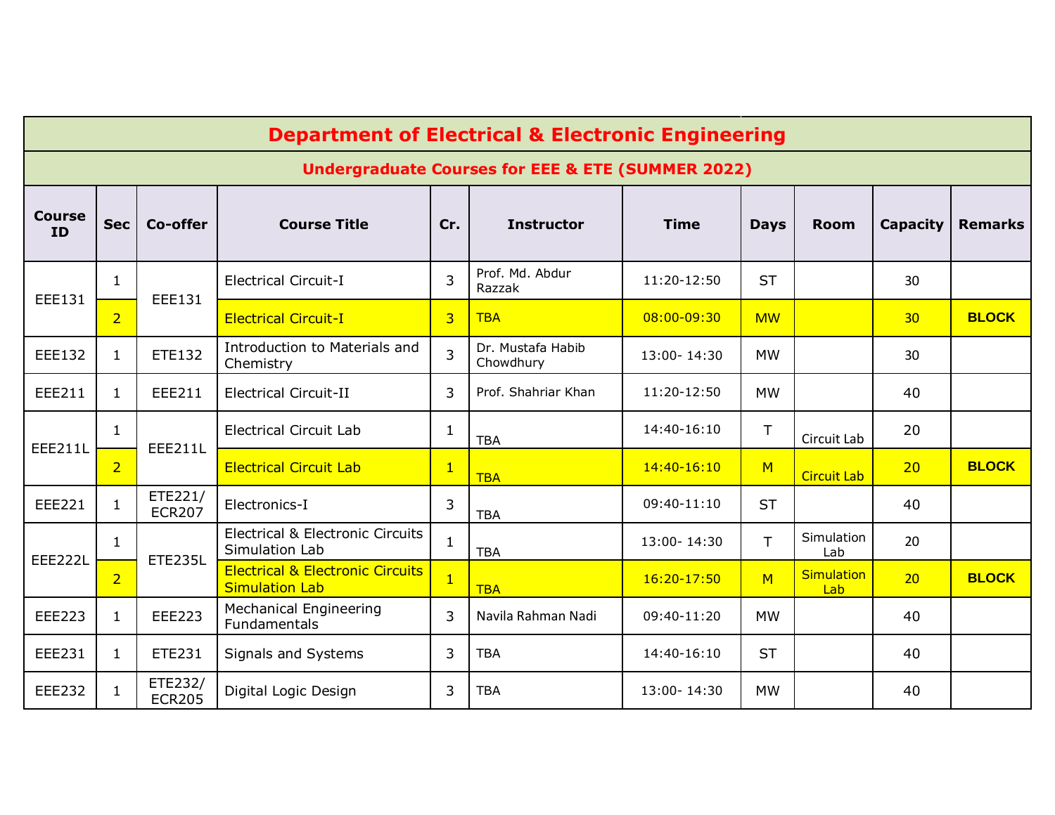|                     |                                                              |                          | <b>Department of Electrical &amp; Electronic Engineering</b>         |                |                                |               |             |                          |                 |                |  |
|---------------------|--------------------------------------------------------------|--------------------------|----------------------------------------------------------------------|----------------|--------------------------------|---------------|-------------|--------------------------|-----------------|----------------|--|
|                     | <b>Undergraduate Courses for EEE &amp; ETE (SUMMER 2022)</b> |                          |                                                                      |                |                                |               |             |                          |                 |                |  |
| <b>Course</b><br>ID | <b>Sec</b>                                                   | Co-offer                 | <b>Course Title</b>                                                  | Cr.            | <b>Instructor</b>              | <b>Time</b>   | <b>Days</b> | <b>Room</b>              | Capacity        | <b>Remarks</b> |  |
| EEE131              | $\mathbf{1}$                                                 | <b>EEE131</b>            | <b>Electrical Circuit-I</b>                                          | 3              | Prof. Md. Abdur<br>Razzak      | 11:20-12:50   | <b>ST</b>   |                          | 30              |                |  |
|                     | $\overline{2}$                                               |                          | <b>Electrical Circuit-I</b>                                          | 3              | <b>TBA</b>                     | 08:00-09:30   | <b>MW</b>   |                          | 30 <sub>2</sub> | <b>BLOCK</b>   |  |
| EEE132              | 1                                                            | <b>ETE132</b>            | Introduction to Materials and<br>Chemistry                           | 3              | Dr. Mustafa Habib<br>Chowdhury | 13:00-14:30   | <b>MW</b>   |                          | 30              |                |  |
| EEE211              | $\mathbf{1}$                                                 | EEE211                   | <b>Electrical Circuit-II</b>                                         | 3              | Prof. Shahriar Khan            | 11:20-12:50   | <b>MW</b>   |                          | 40              |                |  |
| <b>EEE211L</b>      | $\mathbf{1}$                                                 | <b>EEE211L</b>           | <b>Electrical Circuit Lab</b>                                        | $\mathbf{1}$   | <b>TBA</b>                     | 14:40-16:10   | T.          | Circuit Lab              | 20              |                |  |
|                     | $\overline{2}$                                               |                          | <b>Electrical Circuit Lab</b>                                        | $\mathbf{1}$   | <b>TBA</b>                     | $14:40-16:10$ | M           | <b>Circuit Lab</b>       | 20              | <b>BLOCK</b>   |  |
| <b>EEE221</b>       | $\mathbf{1}$                                                 | ETE221/<br><b>ECR207</b> | Electronics-I                                                        | 3              | <b>TBA</b>                     | 09:40-11:10   | <b>ST</b>   |                          | 40              |                |  |
| <b>EEE222L</b>      | $\mathbf{1}$                                                 | <b>ETE235L</b>           | <b>Electrical &amp; Electronic Circuits</b><br>Simulation Lab        | $\mathbf{1}$   | <b>TBA</b>                     | 13:00-14:30   | T.          | Simulation<br>Lab        | 20              |                |  |
|                     | $\overline{2}$                                               |                          | <b>Electrical &amp; Electronic Circuits</b><br><b>Simulation Lab</b> | $\overline{1}$ | <b>TBA</b>                     | $16:20-17:50$ | M           | <b>Simulation</b><br>Lab | 20              | <b>BLOCK</b>   |  |
| <b>EEE223</b>       | $\mathbf{1}$                                                 | <b>EEE223</b>            | <b>Mechanical Engineering</b><br><b>Fundamentals</b>                 | 3              | Navila Rahman Nadi             | 09:40-11:20   | <b>MW</b>   |                          | 40              |                |  |
| EEE231              | $\mathbf{1}$                                                 | <b>ETE231</b>            | Signals and Systems                                                  | 3              | <b>TBA</b>                     | 14:40-16:10   | <b>ST</b>   |                          | 40              |                |  |
| <b>EEE232</b>       | 1                                                            | ETE232/<br><b>ECR205</b> | Digital Logic Design                                                 | 3              | <b>TBA</b>                     | 13:00-14:30   | <b>MW</b>   |                          | 40              |                |  |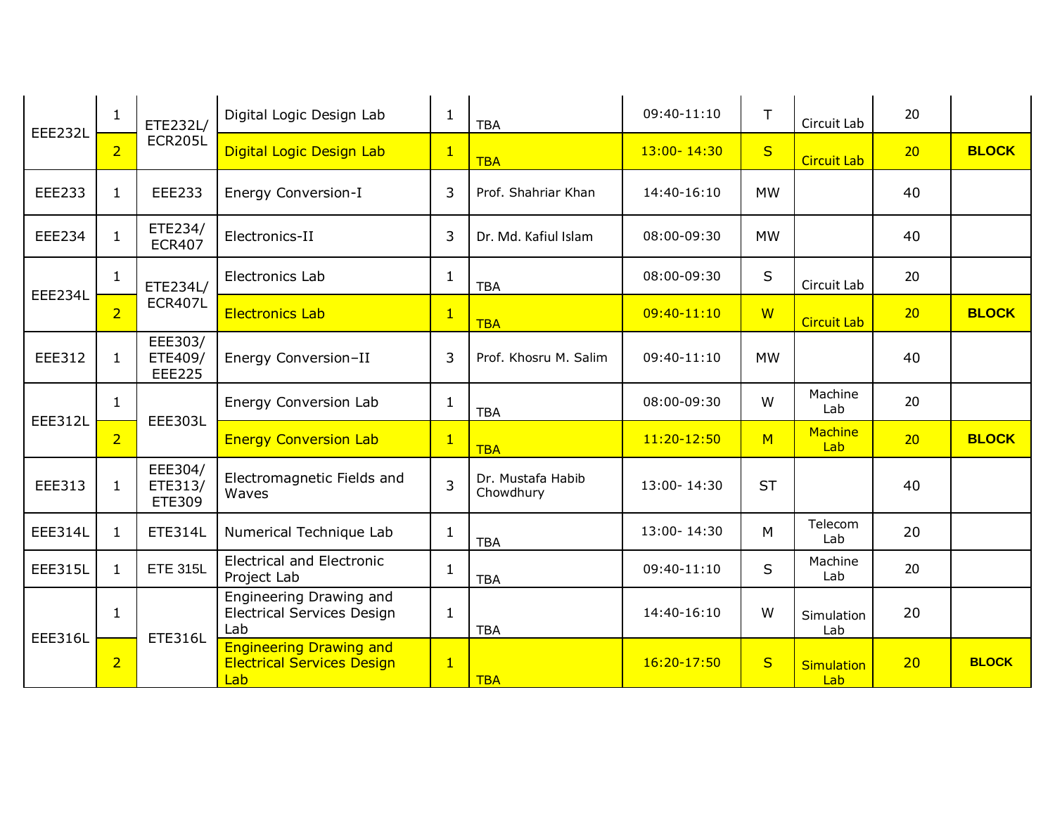| <b>EEE232L</b> | 1              | ETE232L/                            | Digital Logic Design Lab                                                   | $\mathbf{1}$   | <b>TBA</b>                     | 09:40-11:10     | T.        | Circuit Lab              | 20              |              |
|----------------|----------------|-------------------------------------|----------------------------------------------------------------------------|----------------|--------------------------------|-----------------|-----------|--------------------------|-----------------|--------------|
|                | $\overline{2}$ | <b>ECR205L</b>                      | Digital Logic Design Lab                                                   | $\overline{1}$ | <b>TBA</b>                     | $13:00 - 14:30$ | S         | <b>Circuit Lab</b>       | 20              | <b>BLOCK</b> |
| <b>EEE233</b>  | $\mathbf{1}$   | EEE233                              | <b>Energy Conversion-I</b>                                                 | 3              | Prof. Shahriar Khan            | 14:40-16:10     | <b>MW</b> |                          | 40              |              |
| <b>EEE234</b>  | $\mathbf{1}$   | ETE234/<br><b>ECR407</b>            | Electronics-II                                                             | 3              | Dr. Md. Kafiul Islam           | 08:00-09:30     | <b>MW</b> |                          | 40              |              |
| EEE234L        | $\mathbf{1}$   | ETE234L/                            | <b>Electronics Lab</b>                                                     | 1              | <b>TBA</b>                     | 08:00-09:30     | S         | Circuit Lab              | 20              |              |
|                | $\overline{2}$ | <b>ECR407L</b>                      | <b>Electronics Lab</b>                                                     | $\mathbf{1}$   | <b>TBA</b>                     | $09:40-11:10$   | <b>W</b>  | <b>Circuit Lab</b>       | 20              | <b>BLOCK</b> |
| EEE312         | $\mathbf{1}$   | EEE303/<br>ETE409/<br><b>EEE225</b> | Energy Conversion-II                                                       | 3              | Prof. Khosru M. Salim          | $09:40-11:10$   | <b>MW</b> |                          | 40              |              |
| <b>EEE312L</b> | $\mathbf{1}$   | <b>EEE303L</b>                      | Energy Conversion Lab                                                      | $\mathbf{1}$   | <b>TBA</b>                     | 08:00-09:30     | W         | Machine<br>Lab           | 20              |              |
|                | $\overline{2}$ |                                     | <b>Energy Conversion Lab</b>                                               | $\mathbf{1}$   | <b>TBA</b>                     | 11:20-12:50     | M         | Machine<br>Lab           | 20 <sup>°</sup> | <b>BLOCK</b> |
| EEE313         | $\mathbf{1}$   | EEE304/<br>ETE313/<br>ETE309        | Electromagnetic Fields and<br>Waves                                        | $\overline{3}$ | Dr. Mustafa Habib<br>Chowdhury | 13:00-14:30     | <b>ST</b> |                          | 40              |              |
| <b>EEE314L</b> | $\mathbf{1}$   | <b>ETE314L</b>                      | Numerical Technique Lab                                                    | 1              | <b>TBA</b>                     | 13:00-14:30     | M         | Telecom<br>Lab           | 20              |              |
| <b>EEE315L</b> | $\mathbf{1}$   | <b>ETE 315L</b>                     | <b>Electrical and Electronic</b><br>Project Lab                            | $\mathbf{1}$   | <b>TBA</b>                     | 09:40-11:10     | S         | Machine<br>Lab           | 20              |              |
| <b>EEE316L</b> | $\mathbf{1}$   | <b>ETE316L</b>                      | Engineering Drawing and<br><b>Electrical Services Design</b><br>Lab        | 1              | <b>TBA</b>                     | 14:40-16:10     | W         | Simulation<br>Lab        | 20              |              |
|                | $\overline{2}$ |                                     | <b>Engineering Drawing and</b><br><b>Electrical Services Design</b><br>Lab | $\mathbf{1}$   | <b>TBA</b>                     | 16:20-17:50     | S         | <b>Simulation</b><br>Lab | 20              | <b>BLOCK</b> |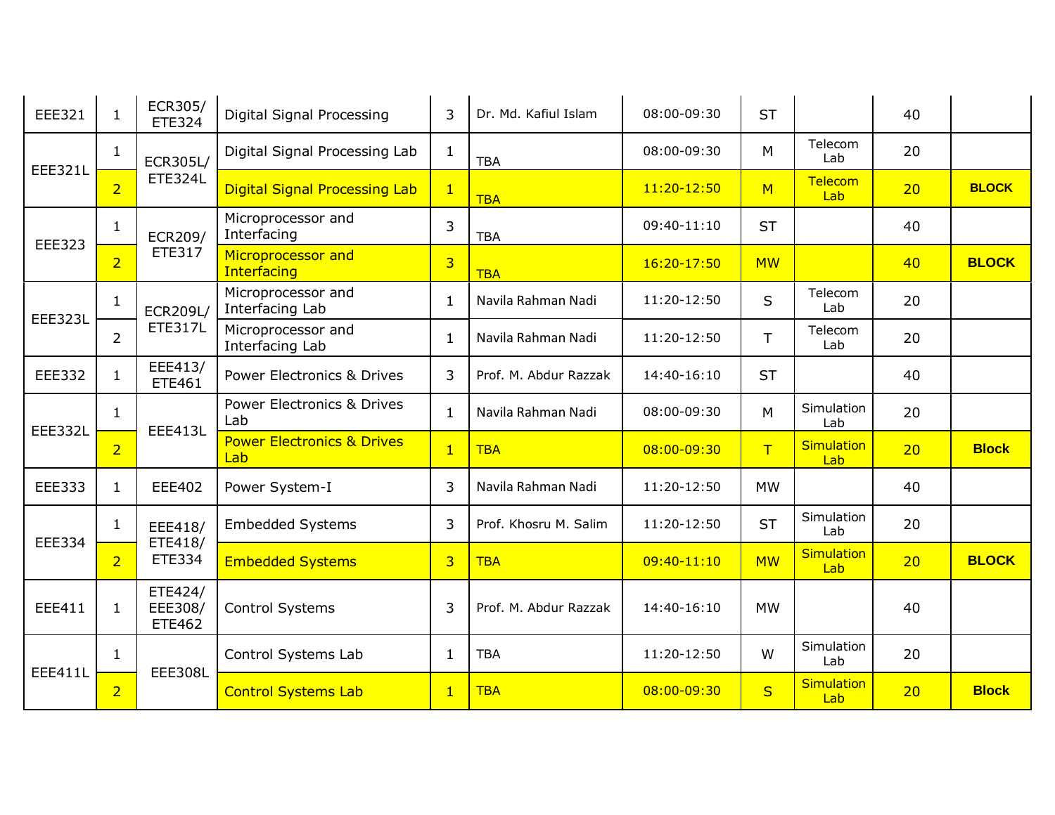| EEE321         | $\mathbf{1}$   | ECR305/<br><b>ETE324</b>     | Digital Signal Processing                    | 3              | Dr. Md. Kafiul Islam  | 08:00-09:30 | <b>ST</b>    |                          | 40 |              |
|----------------|----------------|------------------------------|----------------------------------------------|----------------|-----------------------|-------------|--------------|--------------------------|----|--------------|
| <b>EEE321L</b> | $\mathbf{1}$   | ECR305L/                     | Digital Signal Processing Lab                | $\mathbf{1}$   | <b>TBA</b>            | 08:00-09:30 | M            | Telecom<br>Lab           | 20 |              |
|                | $\overline{2}$ | <b>ETE324L</b>               | <b>Digital Signal Processing Lab</b>         | $\mathbf{1}$   | <b>TBA</b>            | 11:20-12:50 | M            | Telecom<br>Lab           | 20 | <b>BLOCK</b> |
| <b>EEE323</b>  | 1              | ECR209/                      | Microprocessor and<br>Interfacing            | 3              | <b>TBA</b>            | 09:40-11:10 | <b>ST</b>    |                          | 40 |              |
|                | $\overline{2}$ | ETE317                       | Microprocessor and<br>Interfacing            | $\overline{3}$ | <b>TBA</b>            | 16:20-17:50 | <b>MW</b>    |                          | 40 | <b>BLOCK</b> |
| <b>EEE323L</b> | $\mathbf{1}$   | <b>ECR209L/</b>              | Microprocessor and<br>Interfacing Lab        | $\mathbf{1}$   | Navila Rahman Nadi    | 11:20-12:50 | $\mathsf{S}$ | Telecom<br>Lab           | 20 |              |
|                | $\overline{2}$ | <b>ETE317L</b>               | Microprocessor and<br>Interfacing Lab        | -1             | Navila Rahman Nadi    | 11:20-12:50 | T.           | Telecom<br>Lab           | 20 |              |
| <b>EEE332</b>  | $\mathbf{1}$   | EEE413/<br>ETE461            | <b>Power Electronics &amp; Drives</b>        | 3              | Prof. M. Abdur Razzak | 14:40-16:10 | <b>ST</b>    |                          | 40 |              |
| <b>EEE332L</b> | $\mathbf{1}$   | <b>EEE413L</b>               | Power Electronics & Drives<br>Lab            | $\mathbf{1}$   | Navila Rahman Nadi    | 08:00-09:30 | M            | Simulation<br>Lab        | 20 |              |
|                | $\overline{2}$ |                              | <b>Power Electronics &amp; Drives</b><br>Lab | $\overline{1}$ | <b>TBA</b>            | 08:00-09:30 | T            | <b>Simulation</b><br>Lab | 20 | <b>Block</b> |
| <b>EEE333</b>  | $\mathbf{1}$   | <b>EEE402</b>                | Power System-I                               | 3              | Navila Rahman Nadi    | 11:20-12:50 | <b>MW</b>    |                          | 40 |              |
| <b>EEE334</b>  | $\mathbf{1}$   | EEE418/<br>ETE418/           | <b>Embedded Systems</b>                      | 3              | Prof. Khosru M. Salim | 11:20-12:50 | <b>ST</b>    | Simulation<br>Lab        | 20 |              |
|                | $\overline{2}$ | <b>ETE334</b>                | <b>Embedded Systems</b>                      | $\overline{3}$ | <b>TBA</b>            | 09:40-11:10 | <b>MW</b>    | <b>Simulation</b><br>Lab | 20 | <b>BLOCK</b> |
| <b>EEE411</b>  | $\mathbf{1}$   | ETE424/<br>EEE308/<br>ETE462 | <b>Control Systems</b>                       | 3              | Prof. M. Abdur Razzak | 14:40-16:10 | <b>MW</b>    |                          | 40 |              |
| <b>EEE411L</b> | $\mathbf{1}$   | <b>EEE308L</b>               | Control Systems Lab                          | $\mathbf{1}$   | <b>TBA</b>            | 11:20-12:50 | W            | Simulation<br>Lab        | 20 |              |
|                | $\overline{2}$ |                              | <b>Control Systems Lab</b>                   | $\mathbf{1}$   | <b>TBA</b>            | 08:00-09:30 | S            | <b>Simulation</b><br>Lab | 20 | <b>Block</b> |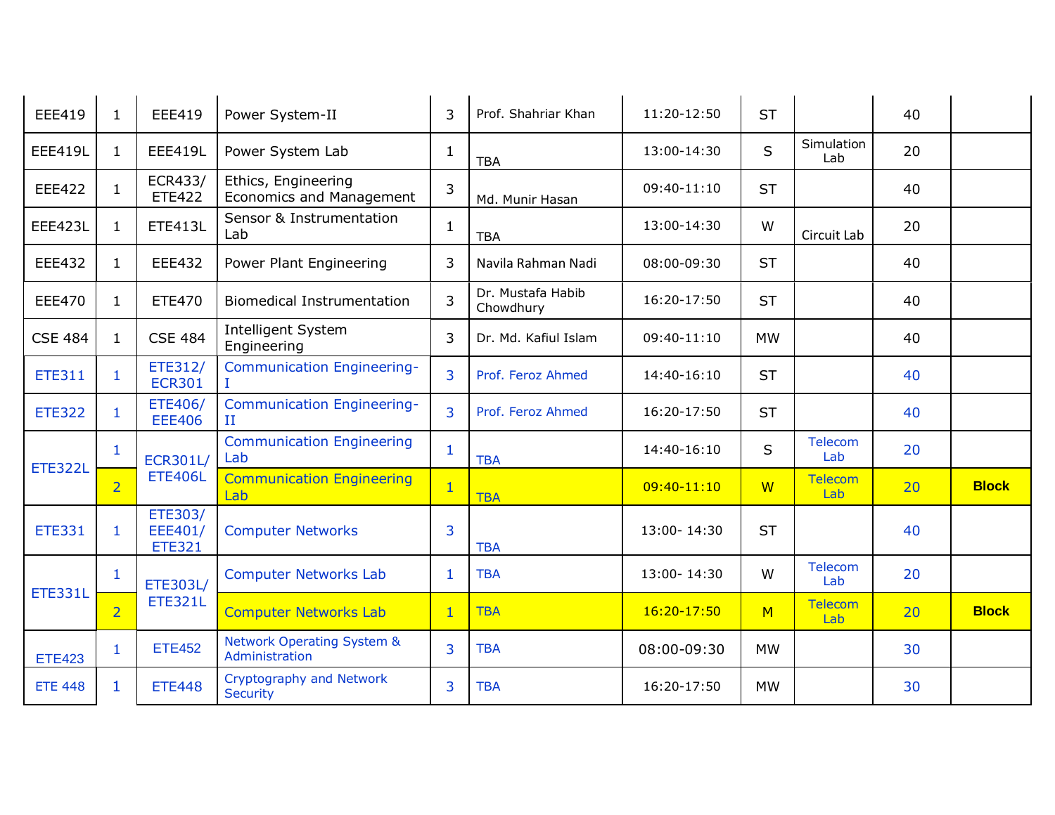| EEE419         | $\mathbf{1}$   | EEE419                              | Power System-II                                         | 3              | Prof. Shahriar Khan            | 11:20-12:50 | <b>ST</b> |                       | 40 |              |
|----------------|----------------|-------------------------------------|---------------------------------------------------------|----------------|--------------------------------|-------------|-----------|-----------------------|----|--------------|
| <b>EEE419L</b> | $\mathbf{1}$   | <b>EEE419L</b>                      | Power System Lab                                        | $\mathbf{1}$   | <b>TBA</b>                     | 13:00-14:30 | S         | Simulation<br>Lab     | 20 |              |
| <b>EEE422</b>  | $\mathbf{1}$   | ECR433/<br><b>ETE422</b>            | Ethics, Engineering<br><b>Economics and Management</b>  | 3              | Md. Munir Hasan                | 09:40-11:10 | <b>ST</b> |                       | 40 |              |
| <b>EEE423L</b> | $\mathbf{1}$   | <b>ETE413L</b>                      | Sensor & Instrumentation<br>Lab                         | $\mathbf{1}$   | <b>TBA</b>                     | 13:00-14:30 | W         | Circuit Lab           | 20 |              |
| EEE432         | $\mathbf{1}$   | <b>EEE432</b>                       | Power Plant Engineering                                 | 3              | Navila Rahman Nadi             | 08:00-09:30 | <b>ST</b> |                       | 40 |              |
| <b>EEE470</b>  | $\mathbf{1}$   | <b>ETE470</b>                       | <b>Biomedical Instrumentation</b>                       | $\overline{3}$ | Dr. Mustafa Habib<br>Chowdhury | 16:20-17:50 | <b>ST</b> |                       | 40 |              |
| <b>CSE 484</b> | $\mathbf{1}$   | <b>CSE 484</b>                      | Intelligent System<br>Engineering                       | 3              | Dr. Md. Kafiul Islam           | 09:40-11:10 | <b>MW</b> |                       | 40 |              |
| <b>ETE311</b>  | $\mathbf{1}$   | ETE312/<br><b>ECR301</b>            | <b>Communication Engineering-</b>                       | $\overline{3}$ | Prof. Feroz Ahmed              | 14:40-16:10 | <b>ST</b> |                       | 40 |              |
| <b>ETE322</b>  | $\mathbf{1}$   | <b>ETE406/</b><br><b>EEE406</b>     | <b>Communication Engineering-</b><br>$\mathbf{H}$       | 3              | Prof. Feroz Ahmed              | 16:20-17:50 | <b>ST</b> |                       | 40 |              |
| <b>ETE322L</b> | $\mathbf{1}$   | <b>ECR301L/</b>                     | <b>Communication Engineering</b><br>Lab                 | $\mathbf{1}$   | <b>TBA</b>                     | 14:40-16:10 | S.        | Telecom<br>Lab        | 20 |              |
|                | $\overline{2}$ | <b>ETE406L</b>                      | <b>Communication Engineering</b><br>Lab                 | $\overline{1}$ | <b>TBA</b>                     | 09:40-11:10 | <b>W</b>  | <b>Telecom</b><br>Lab | 20 | <b>Block</b> |
| <b>ETE331</b>  | $\mathbf{1}$   | ETE303/<br>EEE401/<br><b>ETE321</b> | <b>Computer Networks</b>                                | 3              | <b>TBA</b>                     | 13:00-14:30 | <b>ST</b> |                       | 40 |              |
| <b>ETE331L</b> | 1              | ETE303L/                            | <b>Computer Networks Lab</b>                            | -1             | <b>TBA</b>                     | 13:00-14:30 | W         | Telecom<br>Lab        | 20 |              |
|                | $\overline{2}$ | <b>ETE321L</b>                      | <b>Computer Networks Lab</b>                            | $\mathbf{1}$   | <b>TBA</b>                     | 16:20-17:50 | M         | <b>Telecom</b><br>Lab | 20 | <b>Block</b> |
| <b>ETE423</b>  | $\mathbf{1}$   | <b>ETE452</b>                       | <b>Network Operating System &amp;</b><br>Administration | 3              | <b>TBA</b>                     | 08:00-09:30 | <b>MW</b> |                       | 30 |              |
| <b>ETE 448</b> | 1              | <b>ETE448</b>                       | Cryptography and Network<br><b>Security</b>             | 3              | <b>TBA</b>                     | 16:20-17:50 | <b>MW</b> |                       | 30 |              |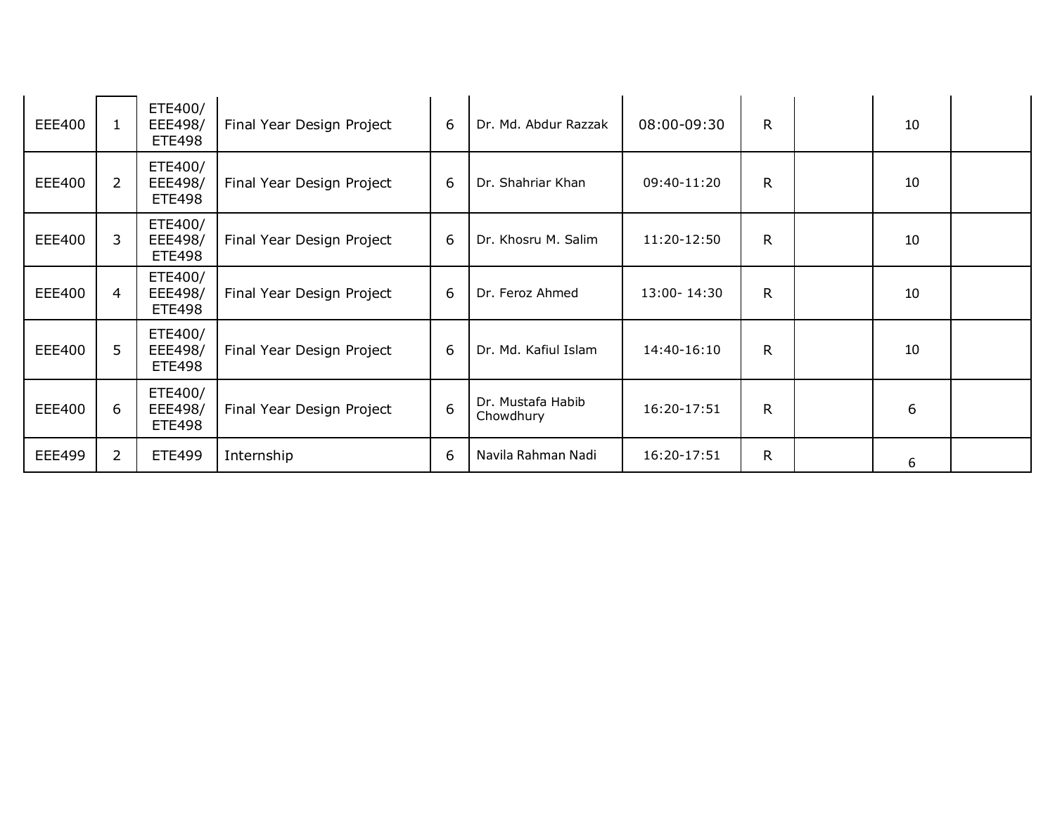| <b>EEE400</b> |                | ETE400/<br>EEE498/<br><b>ETE498</b> | Final Year Design Project | 6 | Dr. Md. Abdur Razzak           | 08:00-09:30   | R.           | 10 |  |
|---------------|----------------|-------------------------------------|---------------------------|---|--------------------------------|---------------|--------------|----|--|
| EEE400        | $\overline{2}$ | ETE400/<br>EEE498/<br><b>ETE498</b> | Final Year Design Project | 6 | Dr. Shahriar Khan              | 09:40-11:20   | $\mathsf{R}$ | 10 |  |
| <b>EEE400</b> | $\mathbf{3}$   | ETE400/<br>EEE498/<br><b>ETE498</b> | Final Year Design Project | 6 | Dr. Khosru M. Salim            | $11:20-12:50$ | $\mathsf{R}$ | 10 |  |
| <b>EEE400</b> | 4              | ETE400/<br>EEE498/<br><b>ETE498</b> | Final Year Design Project | 6 | Dr. Feroz Ahmed                | 13:00-14:30   | R.           | 10 |  |
| <b>EEE400</b> | 5              | ETE400/<br>EEE498/<br><b>ETE498</b> | Final Year Design Project | 6 | Dr. Md. Kafiul Islam           | $14:40-16:10$ | R.           | 10 |  |
| <b>EEE400</b> | 6              | ETE400/<br>EEE498/<br>ETE498        | Final Year Design Project | 6 | Dr. Mustafa Habib<br>Chowdhury | 16:20-17:51   | R            | 6  |  |
| <b>EEE499</b> | $\overline{2}$ | <b>ETE499</b>                       | Internship                | 6 | Navila Rahman Nadi             | 16:20-17:51   | R.           | 6  |  |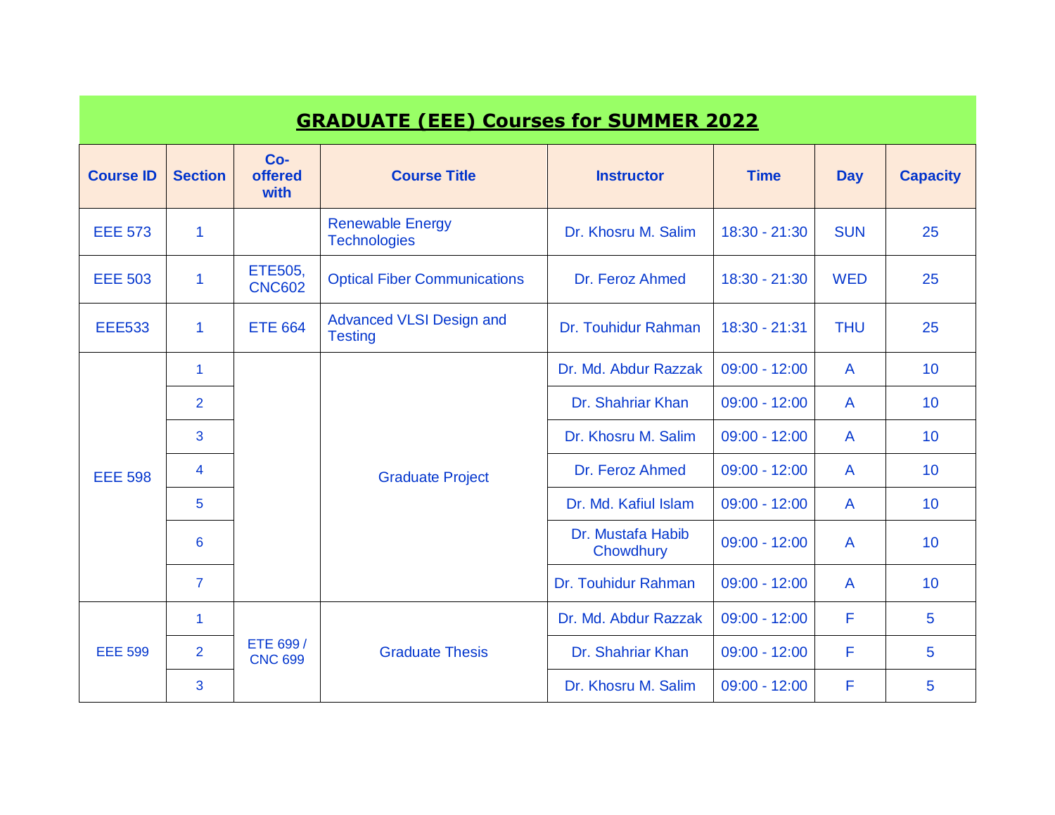|                                                                       |                |                            | <b>GRADUATE (EEE) Courses for SUMMER 2022</b>     |                                |                 |                |                 |
|-----------------------------------------------------------------------|----------------|----------------------------|---------------------------------------------------|--------------------------------|-----------------|----------------|-----------------|
| $Co-$<br><b>offered</b><br><b>Course ID</b><br><b>Section</b><br>with |                |                            | <b>Course Title</b>                               | <b>Instructor</b>              | <b>Time</b>     | <b>Day</b>     | <b>Capacity</b> |
| <b>EEE 573</b>                                                        | 1              |                            | <b>Renewable Energy</b><br><b>Technologies</b>    | Dr. Khosru M. Salim            | 18:30 - 21:30   | <b>SUN</b>     | 25              |
| <b>EEE 503</b>                                                        | 1              | ETE505,<br><b>CNC602</b>   | <b>Optical Fiber Communications</b>               | Dr. Feroz Ahmed                | $18:30 - 21:30$ | <b>WED</b>     | 25              |
| <b>EEE533</b>                                                         | 1              | <b>ETE 664</b>             | <b>Advanced VLSI Design and</b><br><b>Testing</b> | Dr. Touhidur Rahman            | 18:30 - 21:31   | <b>THU</b>     | 25              |
|                                                                       | $\mathbf{1}$   |                            |                                                   | Dr. Md. Abdur Razzak           | $09:00 - 12:00$ | A              | 10              |
|                                                                       | $\overline{2}$ | 3<br>4<br>5                |                                                   | Dr. Shahriar Khan              | $09:00 - 12:00$ | $\mathsf{A}$   | 10 <sup>1</sup> |
|                                                                       |                |                            |                                                   | Dr. Khosru M. Salim            | $09:00 - 12:00$ | $\mathsf{A}$   | 10 <sup>°</sup> |
| <b>EEE 598</b>                                                        |                |                            | <b>Graduate Project</b>                           | Dr. Feroz Ahmed                | $09:00 - 12:00$ | A              | 10 <sup>°</sup> |
|                                                                       |                |                            |                                                   | Dr. Md. Kafiul Islam           | $09:00 - 12:00$ | $\mathsf{A}$   | 10 <sup>°</sup> |
|                                                                       | 6              |                            |                                                   | Dr. Mustafa Habib<br>Chowdhury | $09:00 - 12:00$ | $\mathsf{A}$   | 10 <sup>°</sup> |
|                                                                       | $\overline{7}$ |                            |                                                   | Dr. Touhidur Rahman            | $09:00 - 12:00$ | $\overline{A}$ | 10 <sup>°</sup> |
|                                                                       | $\mathbf 1$    |                            |                                                   | Dr. Md. Abdur Razzak           | $09:00 - 12:00$ | F              | 5               |
| <b>EEE 599</b>                                                        | $\overline{2}$ | ETE 699/<br><b>CNC 699</b> | <b>Graduate Thesis</b>                            | Dr. Shahriar Khan              | $09:00 - 12:00$ | F              | 5               |
|                                                                       | 3              |                            |                                                   | Dr. Khosru M. Salim            | $09:00 - 12:00$ | F              | 5               |